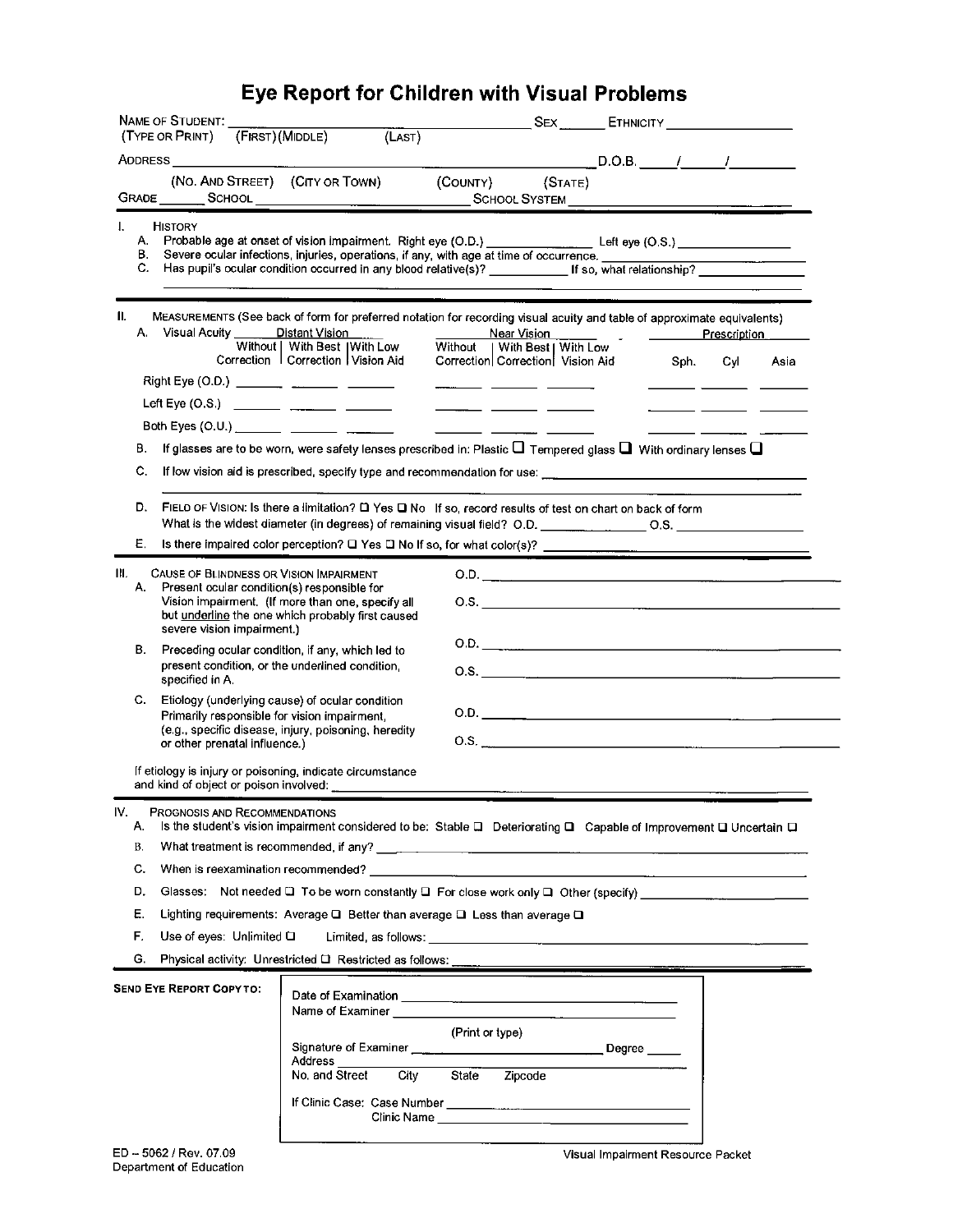## Eye Report for Children with Visual Problems

|                         | NAME OF STUDENT.                                                                                                                                                                                                               | (FIRST) (MIDDLE)                                                                                                                       |                                                                                                                           |                                                                                                                                             | SEX ETHNICITY CONTROLLER          |      |     |      |  |  |
|-------------------------|--------------------------------------------------------------------------------------------------------------------------------------------------------------------------------------------------------------------------------|----------------------------------------------------------------------------------------------------------------------------------------|---------------------------------------------------------------------------------------------------------------------------|---------------------------------------------------------------------------------------------------------------------------------------------|-----------------------------------|------|-----|------|--|--|
|                         | (TYPE OR PRINT)                                                                                                                                                                                                                | (LAST)                                                                                                                                 |                                                                                                                           |                                                                                                                                             |                                   |      |     |      |  |  |
|                         |                                                                                                                                                                                                                                |                                                                                                                                        |                                                                                                                           |                                                                                                                                             |                                   |      |     |      |  |  |
| Grade                   | (NO. AND STREET) (CITY OR TOWN)<br><b>SCHOOL</b>                                                                                                                                                                               |                                                                                                                                        | (COUNTY)                                                                                                                  |                                                                                                                                             | (STATE)                           |      |     |      |  |  |
|                         |                                                                                                                                                                                                                                |                                                                                                                                        |                                                                                                                           |                                                                                                                                             |                                   |      |     |      |  |  |
| I.<br>А.                | <b>HISTORY</b>                                                                                                                                                                                                                 | Probable age at onset of vision impairment. Right eye (O.D.) ______________________Left eye (O.S.)                                     |                                                                                                                           |                                                                                                                                             |                                   |      |     |      |  |  |
| В.                      |                                                                                                                                                                                                                                | Severe ocular infections, injuries, operations, if any, with age at time of occurrence.                                                |                                                                                                                           |                                                                                                                                             |                                   |      |     |      |  |  |
| C.                      |                                                                                                                                                                                                                                | Has pupil's ocular condition occurred in any blood relative(s)? ____________ If so, what relationship? __________                      |                                                                                                                           |                                                                                                                                             |                                   |      |     |      |  |  |
|                         |                                                                                                                                                                                                                                |                                                                                                                                        |                                                                                                                           |                                                                                                                                             |                                   |      |     |      |  |  |
| 11.                     | MEASUREMENTS (See back of form for preferred notation for recording visual acuity and table of approximate equivalents)<br>A. Visual Acuity ______ Distant Vision<br>Near Vision<br>Prescription                               |                                                                                                                                        |                                                                                                                           |                                                                                                                                             |                                   |      |     |      |  |  |
|                         |                                                                                                                                                                                                                                | Without   With Best   With Low                                                                                                         |                                                                                                                           | Without   With Best   With Low                                                                                                              |                                   |      |     |      |  |  |
|                         |                                                                                                                                                                                                                                | Correction   Correction   Vision Aid                                                                                                   |                                                                                                                           | Correction Correction   Vision Aid                                                                                                          |                                   | Sph. | Cyl | Asia |  |  |
|                         |                                                                                                                                                                                                                                |                                                                                                                                        | $\frac{1}{2}$ and $\frac{1}{2}$ and $\frac{1}{2}$ and $\frac{1}{2}$ and $\frac{1}{2}$ and $\frac{1}{2}$ and $\frac{1}{2}$ |                                                                                                                                             |                                   |      |     |      |  |  |
|                         | Left Eye (O.S.) ____________ _________ ________                                                                                                                                                                                |                                                                                                                                        |                                                                                                                           | $\frac{1}{2}$ and $\frac{1}{2}$ and $\frac{1}{2}$ and $\frac{1}{2}$ and $\frac{1}{2}$ and $\frac{1}{2}$ and $\frac{1}{2}$ and $\frac{1}{2}$ |                                   |      |     |      |  |  |
|                         |                                                                                                                                                                                                                                |                                                                                                                                        |                                                                                                                           |                                                                                                                                             |                                   |      |     |      |  |  |
| В.                      |                                                                                                                                                                                                                                | If glasses are to be worn, were safety lenses prescribed in: Plastic $\square$ Tempered glass $\square$ With ordinary lenses $\square$ |                                                                                                                           |                                                                                                                                             |                                   |      |     |      |  |  |
| C.                      |                                                                                                                                                                                                                                |                                                                                                                                        |                                                                                                                           |                                                                                                                                             |                                   |      |     |      |  |  |
|                         |                                                                                                                                                                                                                                |                                                                                                                                        |                                                                                                                           |                                                                                                                                             |                                   |      |     |      |  |  |
| D.                      |                                                                                                                                                                                                                                | FIELD OF VISION: Is there a limitation? L Yes L No If so, record results of test on chart on back of form                              |                                                                                                                           |                                                                                                                                             |                                   |      |     |      |  |  |
| Е.                      |                                                                                                                                                                                                                                | Is there impaired color perception? $\Box$ Yes $\Box$ No If so, for what color(s)?                                                     |                                                                                                                           |                                                                                                                                             |                                   |      |     |      |  |  |
|                         |                                                                                                                                                                                                                                |                                                                                                                                        |                                                                                                                           |                                                                                                                                             |                                   |      |     |      |  |  |
| Ш.<br>А.                | CAUSE OF BLINDNESS OR VISION IMPAIRMENT<br>Present ocular condition(s) responsible for<br>Vision impairment. (If more than one, specify all<br>but underline the one which probably first caused<br>severe vision impairment.) |                                                                                                                                        |                                                                                                                           |                                                                                                                                             | 0.D.                              |      |     |      |  |  |
|                         |                                                                                                                                                                                                                                |                                                                                                                                        |                                                                                                                           |                                                                                                                                             |                                   |      |     |      |  |  |
|                         |                                                                                                                                                                                                                                |                                                                                                                                        |                                                                                                                           |                                                                                                                                             |                                   |      |     |      |  |  |
| В.                      | Preceding ocular condition, if any, which led to                                                                                                                                                                               |                                                                                                                                        |                                                                                                                           |                                                                                                                                             | 0.0.                              |      |     |      |  |  |
|                         |                                                                                                                                                                                                                                | present condition, or the underlined condition.                                                                                        |                                                                                                                           |                                                                                                                                             | $0.8.$ $\qquad \qquad$            |      |     |      |  |  |
|                         | specified in A.                                                                                                                                                                                                                |                                                                                                                                        |                                                                                                                           |                                                                                                                                             |                                   |      |     |      |  |  |
| C.                      |                                                                                                                                                                                                                                | Etiology (underlying cause) of ocular condition<br>Primarily responsible for vision impairment,                                        |                                                                                                                           |                                                                                                                                             | $0.0$ .                           |      |     |      |  |  |
|                         |                                                                                                                                                                                                                                | (e.g., specific disease, injury, poisoning, heredity                                                                                   |                                                                                                                           |                                                                                                                                             |                                   |      |     |      |  |  |
|                         | or other prenatal influence.)                                                                                                                                                                                                  |                                                                                                                                        |                                                                                                                           |                                                                                                                                             | 0.8.                              |      |     |      |  |  |
|                         |                                                                                                                                                                                                                                | If etiology is injury or poisoning, indicate circumstance                                                                              |                                                                                                                           |                                                                                                                                             |                                   |      |     |      |  |  |
|                         |                                                                                                                                                                                                                                | and kind of object or poison involved: ______________                                                                                  |                                                                                                                           |                                                                                                                                             |                                   |      |     |      |  |  |
| ιv                      | PROGNOSIS AND RECOMMENDATIONS                                                                                                                                                                                                  |                                                                                                                                        |                                                                                                                           |                                                                                                                                             |                                   |      |     |      |  |  |
| Α.<br>В.                |                                                                                                                                                                                                                                | Is the student's vision impairment considered to be: Stable Q Deteriorating Q Capable of Improvement Q Uncertain Q                     |                                                                                                                           |                                                                                                                                             |                                   |      |     |      |  |  |
|                         |                                                                                                                                                                                                                                |                                                                                                                                        |                                                                                                                           |                                                                                                                                             |                                   |      |     |      |  |  |
| C.                      |                                                                                                                                                                                                                                | When is reexamination recommended?                                                                                                     |                                                                                                                           |                                                                                                                                             |                                   |      |     |      |  |  |
| D.                      |                                                                                                                                                                                                                                |                                                                                                                                        |                                                                                                                           |                                                                                                                                             |                                   |      |     |      |  |  |
| Ε.                      |                                                                                                                                                                                                                                | Lighting requirements: Average $\square$ Better than average $\square$ Less than average $\square$                                     |                                                                                                                           |                                                                                                                                             |                                   |      |     |      |  |  |
| F.                      | Use of eyes: Unlimited Q                                                                                                                                                                                                       |                                                                                                                                        |                                                                                                                           |                                                                                                                                             |                                   |      |     |      |  |  |
| G.                      |                                                                                                                                                                                                                                |                                                                                                                                        |                                                                                                                           |                                                                                                                                             |                                   |      |     |      |  |  |
|                         | <b>SEND EYE REPORT COPY TO:</b>                                                                                                                                                                                                |                                                                                                                                        |                                                                                                                           |                                                                                                                                             |                                   |      |     |      |  |  |
|                         |                                                                                                                                                                                                                                |                                                                                                                                        |                                                                                                                           |                                                                                                                                             |                                   |      |     |      |  |  |
|                         |                                                                                                                                                                                                                                |                                                                                                                                        | (Print or type)                                                                                                           |                                                                                                                                             |                                   |      |     |      |  |  |
|                         |                                                                                                                                                                                                                                |                                                                                                                                        |                                                                                                                           |                                                                                                                                             |                                   |      |     |      |  |  |
|                         |                                                                                                                                                                                                                                | Address<br>No. and Street                                                                                                              | City State Zipcode                                                                                                        |                                                                                                                                             |                                   |      |     |      |  |  |
|                         |                                                                                                                                                                                                                                |                                                                                                                                        |                                                                                                                           |                                                                                                                                             |                                   |      |     |      |  |  |
|                         |                                                                                                                                                                                                                                |                                                                                                                                        |                                                                                                                           |                                                                                                                                             |                                   |      |     |      |  |  |
|                         |                                                                                                                                                                                                                                |                                                                                                                                        |                                                                                                                           |                                                                                                                                             |                                   |      |     |      |  |  |
| ED -- 5062 / Rev. 07.09 |                                                                                                                                                                                                                                |                                                                                                                                        |                                                                                                                           |                                                                                                                                             | Visual Impairment Resource Packet |      |     |      |  |  |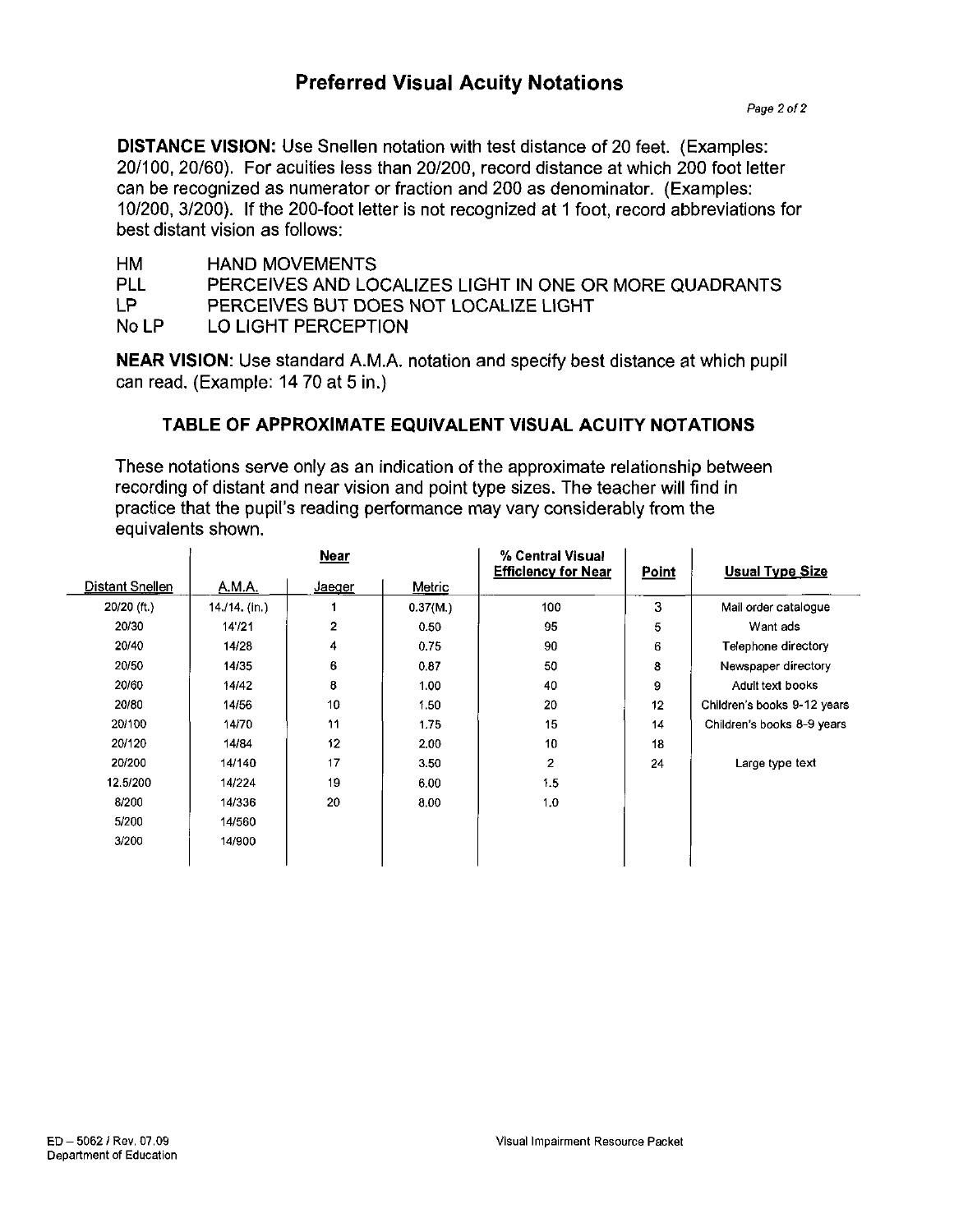## **Preferred Visual Acuity Notations**

**DISTANCE VISION:** Use Snellen notation with test distance of 20 feet. (Examples: 20/100, 20/60). For acuities less than 20/200, record distance at which 200 foot letter can be recognized as numerator or fraction and 200 as denominator. (Examples: 10/200, 3/200). If the 200-foot letter is not recognized at 1 foot, record abbreviations for best distant vision as follows:

| НM<br><b>HAND MOVEMENTS</b> |  |
|-----------------------------|--|
|-----------------------------|--|

PLL PERCEIVES AND LOCALIZES LIGHT IN ONE OR MORE QUADRANTS

LP PERCEIVES BUT DOES NOT LOCALIZE LIGHT

No LP LO LIGHT PERCEPTION

**NEAR VISION:** Use standard A.M.A. notation and specify best distance at which pupil can read. (Example: 14 70 at 5 in.)

## **TABLE OF APPROXIMATE EQUIVALENT VISUAL ACUITY NOTATIONS**

These notations serve only as an indication of the approximate relationship between recording of distant and near vision and point type sizes. The teacher will find in practice that the pupil's reading performance may vary considerably from the equivalents shown.

|                 | <b>Near</b>   |                |          | % Central Visual<br><b>Efficiency for Near</b> | Point | <b>Usual Type Size</b>      |  |
|-----------------|---------------|----------------|----------|------------------------------------------------|-------|-----------------------------|--|
| Distant Snellen | A.M.A.        | Jaeger         | Metric   |                                                |       |                             |  |
| 20/20 (ft.)     | 14./14. (in.) |                | 0.37(M.) | 100                                            | 3     | Mail order catalogue        |  |
| 20/30           | 14'/21        | $\overline{2}$ | 0.50     | 95                                             | 5     | Want ads                    |  |
| 20/40           | 14/28         | 4              | 0.75     | 90                                             | 6     | Telephone directory         |  |
| 20/50           | 14/35         | 6              | 0.87     | 50                                             | 8     | Newspaper directory         |  |
| 20/60           | 14/42         | 8              | 1.00     | 40                                             | 9     | Adult text books            |  |
| 20/80           | 14/56         | 10             | 1.50     | 20                                             | 12    | Children's books 9-12 years |  |
| 20/100          | 14/70         | 11             | 1.75     | 15                                             | 14    | Children's books 8-9 years  |  |
| 20/120          | 14/84         | 12             | 2.00     | 10                                             | 18    |                             |  |
| 20/200          | 14/140        | 17             | 3.50     | $\overline{2}$                                 | 24    | Large type text             |  |
| 12.5/200        | 14/224        | 19             | 6.00     | 1.5                                            |       |                             |  |
| 8/200           | 14/336        | 20             | 8.00     | 1,0                                            |       |                             |  |
| 5/200           | 14/560        |                |          |                                                |       |                             |  |
| 3/200           | 14/900        |                |          |                                                |       |                             |  |